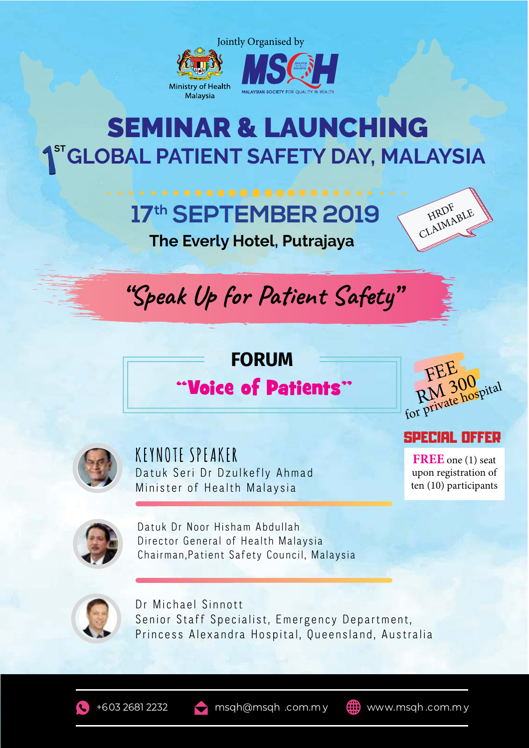

### **GLOBAL PATIENT SAFETY DAY, MALAYSIA** SEMINAR & LAUNCHING

## **17th SEPTEMBER 2019**



**The Everly Hotel, Putrajaya**



#### "Voice of Patients"





**KEYNOTE SPEAKER** Datuk Seri Dr Dzulkefly Ahmad Minister of Health Malaysia

SPECIAL OFFER

**FREE** one (1) seat upon registration of ten (10) participants



Datuk Dr Noor Hisham Abdullah Director General of Health Malaysia Chairman,Patient Safety Council, Malaysia



Dr Michael Sinnott Senior Staff Specialist, Emergency Department, Princess Alexandra Hospital, Queensland, Australia